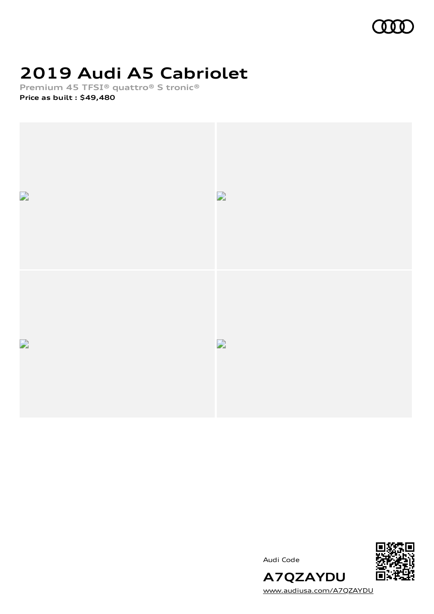

# **2019 Audi A5 Cabriolet**

**Premium 45 TFSI® quattro® S tronic®**

**Price as built [:](#page-10-0) \$49,480**



Audi Code



[www.audiusa.com/A7QZAYDU](https://www.audiusa.com/A7QZAYDU)

**A7QZAYDU**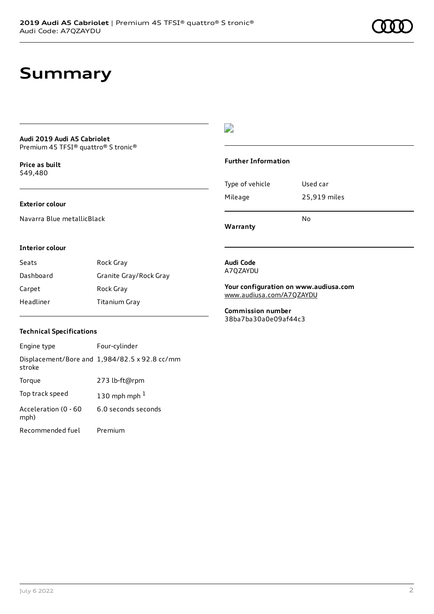### **Summary**

#### **Audi 2019 Audi A5 Cabriolet** Premium 45 TFSI® quattro® S tronic®

**Price as buil[t](#page-10-0)** \$49,480

#### **Exterior colour**

Navarra Blue metallicBlack

### $\overline{\phantom{a}}$

### **Further Information**

|                 | N٥           |
|-----------------|--------------|
| Mileage         | 25,919 miles |
| Type of vehicle | Used car     |

**Warranty**

#### **Interior colour**

| Seats     | Rock Gray              |
|-----------|------------------------|
| Dashboard | Granite Gray/Rock Gray |
| Carpet    | Rock Gray              |
| Headliner | Titanium Gray          |

#### **Audi Code** A7QZAYDU

**Your configuration on www.audiusa.com**

[www.audiusa.com/A7QZAYDU](https://www.audiusa.com/A7QZAYDU)

**Commission number** 38ba7ba30a0e09af44c3

#### **Technical Specifications**

| Engine type                  | Four-cylinder                                 |
|------------------------------|-----------------------------------------------|
| stroke                       | Displacement/Bore and 1,984/82.5 x 92.8 cc/mm |
| Torque                       | 273 lb-ft@rpm                                 |
| Top track speed              | 130 mph mph $1$                               |
| Acceleration (0 - 60<br>mph) | 6.0 seconds seconds                           |
| Recommended fuel             | Premium                                       |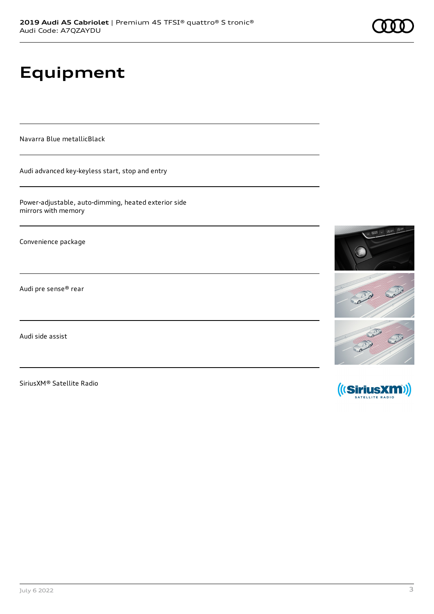# **Equipment**

Navarra Blue metallicBlack

Audi advanced key-keyless start, stop and entry

Power-adjustable, auto-dimming, heated exterior side mirrors with memory

Convenience package

Audi pre sense® rear

Audi side assist

SiriusXM® Satellite Radio



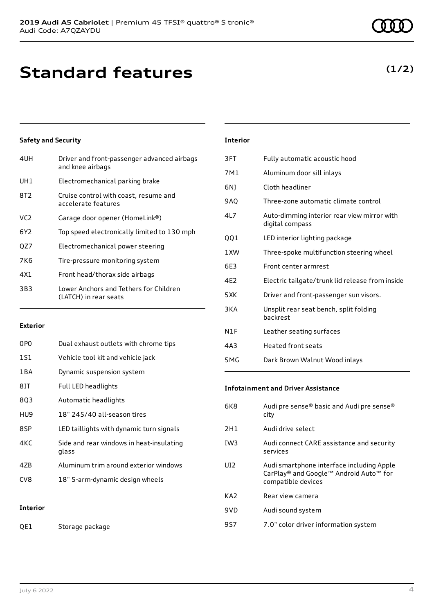### **Standard features**

### **Safety and Security**

| 4UH             | Driver and front-passenger advanced airbags<br>and knee airbags |
|-----------------|-----------------------------------------------------------------|
| UH1             | Electromechanical parking brake                                 |
| 8T <sub>2</sub> | Cruise control with coast, resume and<br>accelerate features    |
| VC <sub>2</sub> | Garage door opener (HomeLink®)                                  |
| 6Y2             | Top speed electronically limited to 130 mph                     |
| OZ7             | Electromechanical power steering                                |
| 7K6             | Tire-pressure monitoring system                                 |
| 4X1             | Front head/thorax side airbags                                  |
| 3B3             | Lower Anchors and Tethers for Children<br>(LATCH) in rear seats |
|                 |                                                                 |

#### **Exterior**

| 0P <sub>0</sub> | Dual exhaust outlets with chrome tips             |
|-----------------|---------------------------------------------------|
| 1S1             | Vehicle tool kit and vehicle jack                 |
| 1 B A           | Dynamic suspension system                         |
| 8IT             | Full LED headlights                               |
| 8Q3             | Automatic headlights                              |
| HU9             | 18" 245/40 all-season tires                       |
| 8SP             | LED taillights with dynamic turn signals          |
| 4KC             | Side and rear windows in heat-insulating<br>glass |
| 4ZB             | Aluminum trim around exterior windows             |
| CV <sub>8</sub> | 18" 5-arm-dynamic design wheels                   |
|                 |                                                   |
| <b>Interior</b> |                                                   |

QE1 Storage package

### **Interior**

| 3FT   | Fully automatic acoustic hood                                  |
|-------|----------------------------------------------------------------|
| 7M1   | Aluminum door sill inlays                                      |
| 6NJ   | Cloth headliner                                                |
| 9AO   | Three-zone automatic climate control                           |
| 4L7   | Auto-dimming interior rear view mirror with<br>digital compass |
| QQ1   | LED interior lighting package                                  |
| 1 XW  | Three-spoke multifunction steering wheel                       |
| 6F3   | Front center armrest                                           |
| 4E2   | Electric tailgate/trunk lid release from inside                |
| 5XK   | Driver and front-passenger sun visors.                         |
| 3KA   | Unsplit rear seat bench, split folding<br><b>backrest</b>      |
| N1F   | Leather seating surfaces                                       |
| 4A3   | <b>Heated front seats</b>                                      |
| 5 M G | Dark Brown Walnut Wood inlays                                  |
|       |                                                                |

### **Infotainment and Driver Assistance**

| 6K8             | Audi pre sense® basic and Audi pre sense®<br>city                                                         |
|-----------------|-----------------------------------------------------------------------------------------------------------|
| 2H1             | Audi drive select                                                                                         |
| IW <sub>3</sub> | Audi connect CARE assistance and security<br>services                                                     |
| UI <sub>2</sub> | Audi smartphone interface including Apple<br>CarPlay® and Google™ Android Auto™ for<br>compatible devices |
| KA <sub>2</sub> | Rear view camera                                                                                          |
| 9VD             | Audi sound system                                                                                         |
| 9S7             | 7.0" color driver information system                                                                      |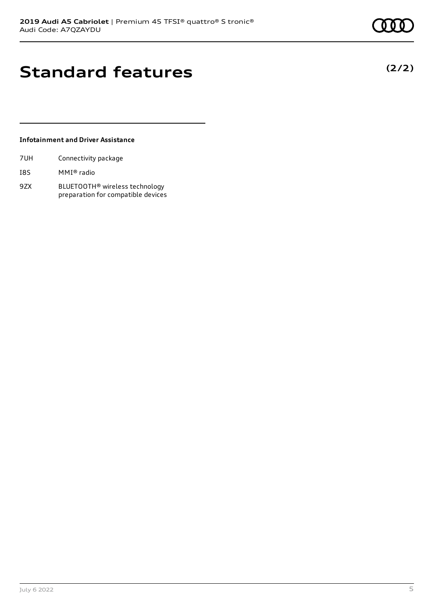**(2/2)**

### **Standard features**

### **Infotainment and Driver Assistance**

| 7UH | Connectivity package |  |
|-----|----------------------|--|
|     |                      |  |

- I8S MMI® radio
- 9ZX BLUETOOTH® wireless technology preparation for compatible devices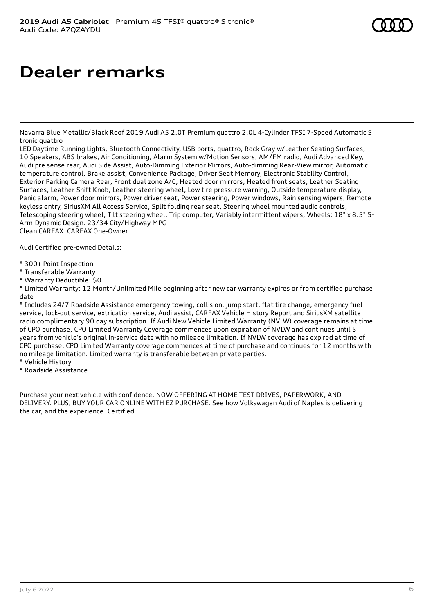# **Dealer remarks**

Navarra Blue Metallic/Black Roof 2019 Audi A5 2.0T Premium quattro 2.0L 4-Cylinder TFSI 7-Speed Automatic S tronic quattro

LED Daytime Running Lights, Bluetooth Connectivity, USB ports, quattro, Rock Gray w/Leather Seating Surfaces, 10 Speakers, ABS brakes, Air Conditioning, Alarm System w/Motion Sensors, AM/FM radio, Audi Advanced Key, Audi pre sense rear, Audi Side Assist, Auto-Dimming Exterior Mirrors, Auto-dimming Rear-View mirror, Automatic temperature control, Brake assist, Convenience Package, Driver Seat Memory, Electronic Stability Control, Exterior Parking Camera Rear, Front dual zone A/C, Heated door mirrors, Heated front seats, Leather Seating Surfaces, Leather Shift Knob, Leather steering wheel, Low tire pressure warning, Outside temperature display, Panic alarm, Power door mirrors, Power driver seat, Power steering, Power windows, Rain sensing wipers, Remote keyless entry, SiriusXM All Access Service, Split folding rear seat, Steering wheel mounted audio controls, Telescoping steering wheel, Tilt steering wheel, Trip computer, Variably intermittent wipers, Wheels: 18" x 8.5" 5- Arm-Dynamic Design. 23/34 City/Highway MPG Clean CARFAX. CARFAX One-Owner.

Audi Certified pre-owned Details:

- \* 300+ Point Inspection
- \* Transferable Warranty
- \* Warranty Deductible: \$0

\* Limited Warranty: 12 Month/Unlimited Mile beginning after new car warranty expires or from certified purchase date

\* Includes 24/7 Roadside Assistance emergency towing, collision, jump start, flat tire change, emergency fuel service, lock-out service, extrication service, Audi assist, CARFAX Vehicle History Report and SiriusXM satellite radio complimentary 90 day subscription. If Audi New Vehicle Limited Warranty (NVLW) coverage remains at time of CPO purchase, CPO Limited Warranty Coverage commences upon expiration of NVLW and continues until 5 years from vehicle's original in-service date with no mileage limitation. If NVLW coverage has expired at time of CPO purchase, CPO Limited Warranty coverage commences at time of purchase and continues for 12 months with no mileage limitation. Limited warranty is transferable between private parties.

- \* Vehicle History
- \* Roadside Assistance

Purchase your next vehicle with confidence. NOW OFFERING AT-HOME TEST DRIVES, PAPERWORK, AND DELIVERY. PLUS, BUY YOUR CAR ONLINE WITH EZ PURCHASE. See how Volkswagen Audi of Naples is delivering the car, and the experience. Certified.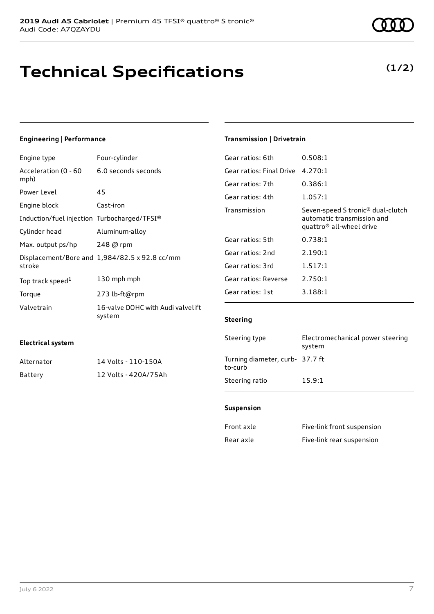# **Technical Specifications**

6.0 seconds seconds

**Electrical system**

mph)

**Engineering | Performance**

Power Level 45

Engine block Cast-iron

Acceleration (0 - 60

Engine type Four-cylinder

| Induction/fuel injection Turbocharged/TFSI® |                                               |
|---------------------------------------------|-----------------------------------------------|
| Cylinder head                               | Aluminum-alloy                                |
| Max. output ps/hp                           | 248 @ rpm                                     |
| stroke                                      | Displacement/Bore and 1,984/82.5 x 92.8 cc/mm |
| Top track speed <sup>1</sup>                | 130 mph mph                                   |
| Torque                                      | 273 lb-ft@rpm                                 |
| Valvetrain                                  | 16-valve DOHC with Audi valvelift<br>system   |

Alternator 14 Volts - 110-150A Battery 12 Volts - 420A/75Ah

### **Transmission | Drivetrain**

| Gear ratios: 6th         | 0.508:1                                                                                                             |
|--------------------------|---------------------------------------------------------------------------------------------------------------------|
| Gear ratios: Final Drive | 4.270:1                                                                                                             |
| Gear ratios: 7th         | 0.386:1                                                                                                             |
| Gear ratios: 4th         | 1.057:1                                                                                                             |
| Transmission             | Seven-speed S tronic <sup>®</sup> dual-clutch<br>automatic transmission and<br>quattro <sup>®</sup> all-wheel drive |
| Gear ratios: 5th         | 0.738:1                                                                                                             |
| Gear ratios: 2nd         | 2.190:1                                                                                                             |
| Gear ratios: 3rd         | 1.517:1                                                                                                             |
| Gear ratios: Reverse     | 2.750:1                                                                                                             |
| Gear ratios: 1st         | 3.188:1                                                                                                             |
|                          |                                                                                                                     |

### **Steering**

| Steering type                              | Electromechanical power steering<br>system |
|--------------------------------------------|--------------------------------------------|
| Turning diameter, curb- 37.7 ft<br>to-curb |                                            |
| Steering ratio                             | 15.9:1                                     |

#### **Suspension**

| Front axle | Five-link front suspension |
|------------|----------------------------|
| Rear axle  | Five-link rear suspension  |

### **(1/2)**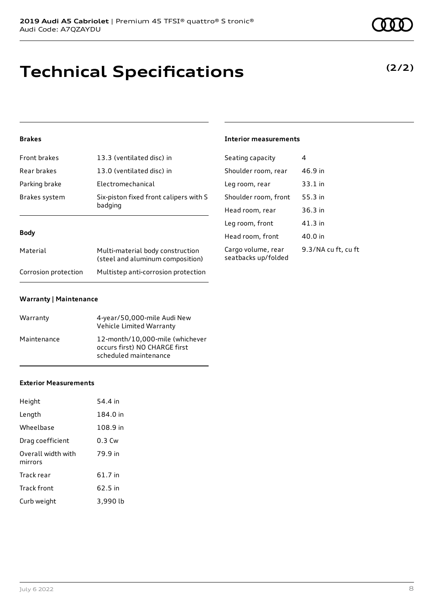## **Technical Specifications**

### **Brakes**

| Front brakes  | 13.3 (ventilated disc) in                         |
|---------------|---------------------------------------------------|
| Rear brakes   | 13.0 (ventilated disc) in                         |
| Parking brake | Electromechanical                                 |
| Brakes system | Six-piston fixed front calipers with S<br>badging |

#### **Body**

| Material             | Multi-material body construction<br>(steel and aluminum composition) |
|----------------------|----------------------------------------------------------------------|
| Corrosion protection | Multistep anti-corrosion protection                                  |

### **Warranty | Maintenance**

| Warranty    | 4-year/50,000-mile Audi New<br>Vehicle Limited Warranty                                   |
|-------------|-------------------------------------------------------------------------------------------|
| Maintenance | 12-month/10,000-mile (whichever<br>occurs first) NO CHARGE first<br>scheduled maintenance |

#### **Exterior Measurements**

| Height                        | 54.4 in           |
|-------------------------------|-------------------|
| Length                        | 184.0 in          |
| Wheelbase                     | 108.9 in          |
| Drag coefficient              | 0.3 <sub>cm</sub> |
| Overall width with<br>mirrors | 79.9 in           |
| Track rear                    | 61.7 in           |
| Track front                   | 62.5 in           |
| Curb weight                   | 3,990 lb          |

### **Interior measurements**

| Seating capacity                          | 4                   |
|-------------------------------------------|---------------------|
| Shoulder room, rear                       | 46.9 in             |
| Leg room, rear                            | 33.1 in             |
| Shoulder room, front                      | 55.3 in             |
| Head room, rear                           | 36.3 in             |
| Leg room, front                           | 41.3 in             |
| Head room, front                          | 40.0 in             |
| Cargo volume, rear<br>seatbacks up/folded | 9.3/NA cu ft, cu ft |

**(2/2)**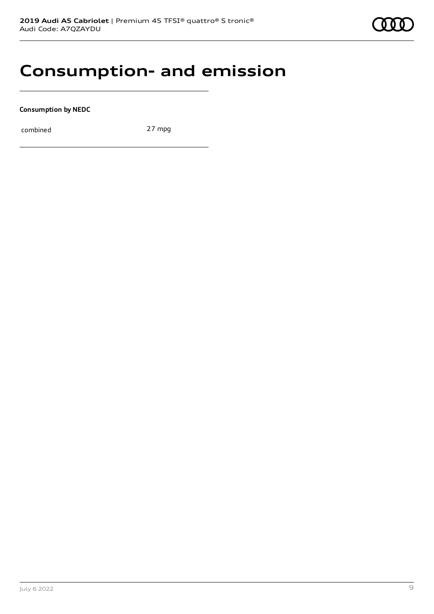

### **Consumption- and emission**

**Consumption by NEDC**

combined 27 mpg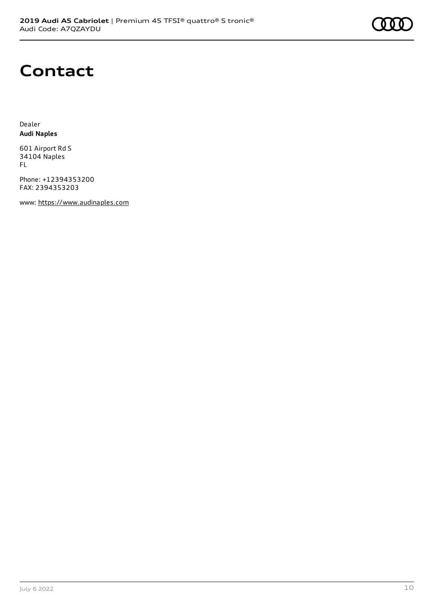

### **Contact**

Dealer **Audi Naples**

601 Airport Rd S 34104 Naples FL

Phone: +12394353200 FAX: 2394353203

www: [https://www.audinaples.com](https://www.audinaples.com/)